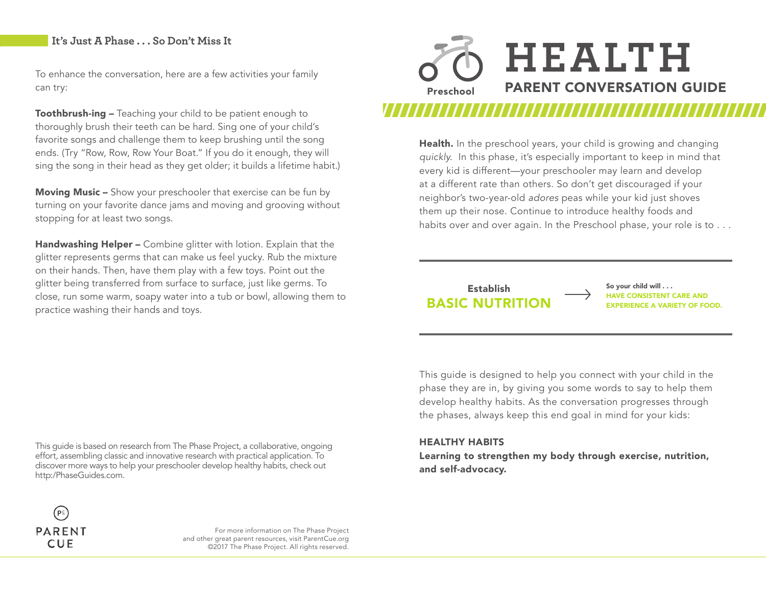### **It's Just A Phase . . . So Don't Miss It**

To enhance the conversation, here are a few activities your family can try:

Toothbrush-ing – Teaching your child to be patient enough to thoroughly brush their teeth can be hard. Sing one of your child's favorite songs and challenge them to keep brushing until the song ends. (Try "Row, Row, Row Your Boat." If you do it enough, they will sing the song in their head as they get older; it builds a lifetime habit.)

**Moving Music –** Show your preschooler that exercise can be fun by turning on your favorite dance jams and moving and grooving without stopping for at least two songs.

Handwashing Helper - Combine glitter with lotion. Explain that the glitter represents germs that can make us feel yucky. Rub the mixture on their hands. Then, have them play with a few toys. Point out the glitter being transferred from surface to surface, just like germs. To close, run some warm, soapy water into a tub or bowl, allowing them to practice washing their hands and toys.

**HEALTH** Preschool PARENT CONVERSATION GUIDE

> Health. In the preschool years, your child is growing and changing *quickly.* In this phase, it's especially important to keep in mind that every kid is different—your preschooler may learn and develop at a different rate than others. So don't get discouraged if your neighbor's two-year-old *adores* peas while your kid just shoves them up their nose. Continue to introduce healthy foods and habits over and over again. In the Preschool phase, your role is to . . .

### **BASIC NUTRITION** EXPERIENCE A VARIETY OF FOOD. Establish

So your child will . . . HAVE CONSISTENT CARE AND

This guide is designed to help you connect with your child in the phase they are in, by giving you some words to say to help them develop healthy habits. As the conversation progresses through the phases, always keep this end goal in mind for your kids:

### HEALTHY HABITS

Learning to strengthen my body through exercise, nutrition, and self-advocacy.





For more information on The Phase Project and other great parent resources, visit ParentCue.org ©2017 The Phase Project. All rights reserved.